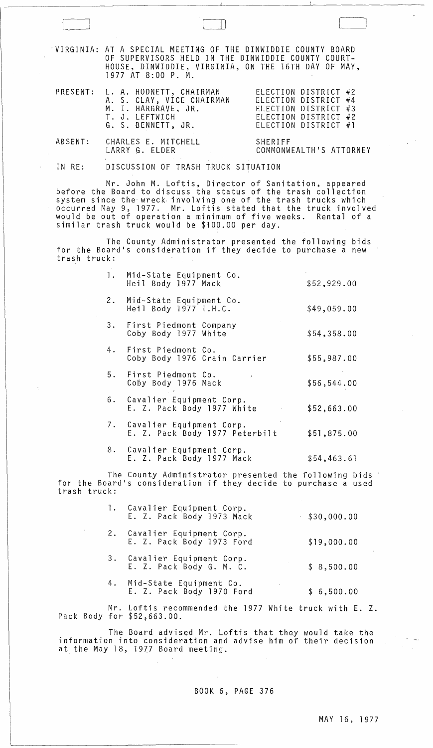|         | VIRGINIA: AT A SPECIAL MEETING OF THE DINWIDDIE COUNTY BOARD<br>OF SUPERVISORS HELD IN THE DINWIDDIE COUNTY COURT-<br>HOUSE, DINWIDDIE, VIRGINIA, ON THE 16TH DAY OF MAY,<br>1977 AT 8:00 P. M. |                                                                      |
|---------|-------------------------------------------------------------------------------------------------------------------------------------------------------------------------------------------------|----------------------------------------------------------------------|
|         | PRESENT: L. A. HODNETT, CHAIRMAN<br>A. S. CLAY, VICE CHAIRMAN ELECTION DISTRICT #4<br>M. I. HARGRAVE, JR.<br>T. J. LEFTWICH ELECTION DISTRICT #2<br>G. S. BENNETT, JR.                          | ELECTION DISTRICT #2<br>ELECTION DISTRICT #3<br>ELECTION DISTRICT #1 |
| ABSENT: | CHARLES E. MITCHELL<br>LARRY G. ELDER                                                                                                                                                           | SHERIFF<br>COMMONWEALTH'S ATTORNEY                                   |
| IN RE:  | DISCUSSION OF TRASH TRUCK SITUATION                                                                                                                                                             |                                                                      |

 $\sqcup$ 

 $\bigcup$ 

Mr. John M. Loftis, Director of Sanitation, appeared before the Board to discuss the status of the trash collection system since the wreck- involving one of the trash trucks which occurred May 9, 1977. Mr. Loftis stated that the truck involved would be out of operation a minimum of five weeks. Rental of a similar trash truck would be \$100.00 per day.

The County Administrator presented the following bids for the Board's consideration if they decide to purchase a new trash truck:

| 1. Mid-State Equipment Co.<br>Heil Body 1977 Mack             | \$52,929.00 |
|---------------------------------------------------------------|-------------|
| 2. Mid-State Equipment Co.<br>Heil Body 1977 I.H.C.           | \$49,059.00 |
| 3. First Piedmont Company<br>Coby Body 1977 White             | \$54,358.00 |
| 4. First Piedmont Co.<br>Coby Body 1976 Crain Carrier         | \$55,987.00 |
| 5. First Piedmont Co.<br>Coby Body 1976 Mack                  | \$56,544.00 |
| 6. Cavalier Equipment Corp.<br>E. Z. Pack Body 1977 White     | \$52,663.00 |
| 7. Cavalier Equipment Corp.<br>E. Z. Pack Body 1977 Peterbilt | \$51,875.00 |
| 8. Cavalier Equipment Corp.<br>E. Z. Pack Body 1977 Mack      | \$54,463.61 |

The County Administrator presented the following bids for the Board's consideration if they decide to purchase a used trash truck:

| 1. Cavalier Equipment Corp.<br>E. Z. Pack Body 1973 Mack | \$30,000.00 |
|----------------------------------------------------------|-------------|
| 2. Cavalier Equipment Corp.<br>E. Z. Pack Body 1973 Ford | \$19,000.00 |
| 3. Cavalier Equipment Corp.<br>E. Z. Pack Body G. M. C.  | \$8,500.00  |
| 4. Mid-State Equipment Co.<br>E. Z. Pack Body 1970 Ford  | \$6,500.00  |

Mr. Loftis recommended the 1977 White truck with E. Z.<br>Pack Body for \$52,663.00.

The Board advised Mr. Loftis that they would take the information into consideration and advise him of their decision at the May 18, 1977 Board meeting.

## BOOK 6, PAGE 376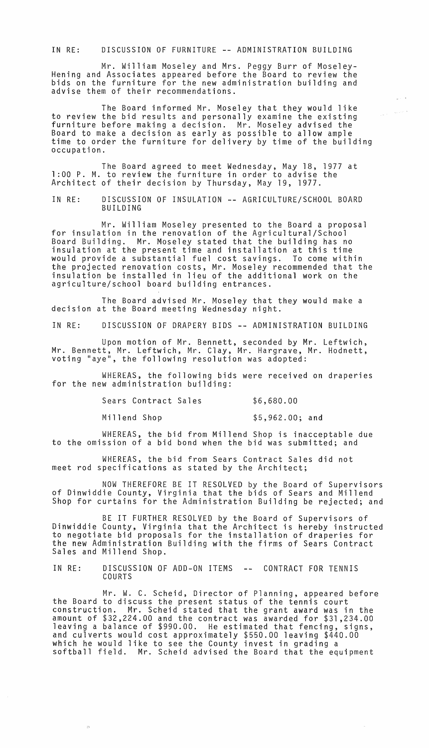IN RE: DISCUSSION OF FURNITURE **--** ADMINISTRATION BUILDING

Mr. William Moseley and Mrs. Peggy Burr of Moseley-Hening and Associates appeared before the Board to review the bids on the furniture for the new administration building and advise them of their recommendations.

The Board informed Mr. Moseley that they would like to review the bid results and personally examine the existing furniture before making a decision. Mr. Moseley advised the Board to make a decision as early as possible to allow ample time to order the furniture for delivery by time of the building occupation.

The Board agreed to meet Wednesday, May 18, 1977 at 1 :00 P. M. to review the furniture in order to advise the Architect of their decision by Thursday, May 19, 1977.

IN RE: DISCUSSION OF INSULATION **--** AGRICULTURE/SCHOOL BOARD BUILDING

Mr. William Moseley presented to the Board a proposal for insulation in the renovation of the Agricultural/School Board Building. Mr. Moseley stated that the building has no insulation at the present time and installation at this time would provide a substantial fuel cost savings. To come within the projected renovation costs, Mr. Moseley recommended that the insulation be installed in lieu of the additional work on the agriculture/school board building entrances.

The Board advised Mr. Moseley that they would make a decision at the Board meeting Wednesday night.

IN RE: DISCUSSION OF DRAPERY BIDS **--** ADMINISTRATION BUILDING

Upon motion of Mr. Bennett, seconded by Mr. Leftwich, Mr. Bennett, Mr. Leftwich, Mr. Clay, Mr. Hargrave, Mr. Hodnett, voting "aye", the following resolution was adopted:

WHEREAS, the following bids were received on draperies for the new administration building:

Sears Contract Sales \$6,680.00

 $\label{eq:1.1} \frac{1}{\sqrt{2\pi\sigma^2}}\left(1-\frac{1}{2\sqrt{2\pi\sigma^2}}\right)^{\frac{1}{2}}$ 

Millend Shop  $$5,962.00;$  and

 $\pm 0.1$ 

WHEREAS, the bid from Millend Shop is inacceptable due to the omission of a bid bond when the bid was submitted; and

WHEREAS, the bid from Sears Contract Sales did not meet rod specifications as stated by the Architect;

NOW THEREFORE BE IT RESOLVED by the Board of Supervisors of Dinwiddie County, Virginia that the bids of Sears and Millend Shop for curtains for the Administration Building be rejected; and

BE IT FURTHER RESOLVED by the Board of Supervisors of Dinwiddie County, Virginia that the Architect is hereby instructed to negotiate bid proposals for the installation of draperies for the new Administration Building with the firms of Sears Contract Sales and Millend Shop.

IN RE: DISCUSSION OF ADD-ON ITEMS CONTRACT FOR TENNIS COURTS

Mr. W. C. Scheid, Director of Planning, appeared before the Board to discuss the present status of the tennis court construction. Mr. Scheid stated that the grant award was in the amount of \$32,224.00 and the contract was awarded for \$31,234.00 leaving a balance of \$990.00. He estimated that fencing, and culverts would cost approximately \$550.00 leaving \$440.00 which he would like to see the County invest in grading a softball field. Mr. Scheid advised the Board that the equipment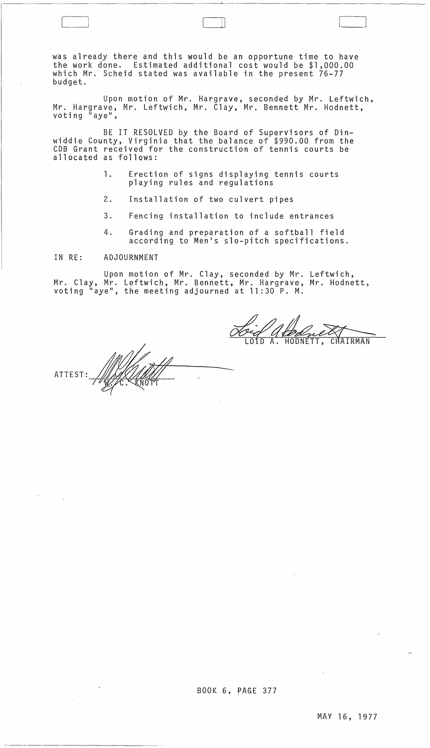was already there and this would be an opportune time to have the work done. Estimated additional cost would be \$1,000.00 which Mr. Scheid stated was available in the present 76-77 budget.

 $\Box$ 

Upon motion of Mr. Hargrave, seconded by Mr. Leftwich, Mr. Hargrave, Mr. Leftwich, Mr. Clay, Mr. Bennett Mr. Hodnett, voting  $^{\tilde{u}}$  aye",

BE IT RESOLVED by the Board of Supervisors of Dinwiddie County, Virginia that the balance of \$990.00 from the COB Grant received for the construction of tennis courts be allocated as follows:

- 1. Erection of signs displaying tennis courts playing rules and regulations
- 2. Installation of two culvert pipes
- 3. Fencing installation to include entrances
- 4. Grading and preparation of a softball field according to Men's slo-pitch specifications.

## IN RE: ADJOURNMENT

 $\sim 10^{-11}$ 

Upon motion of Mr. Clay, seconded by Mr. Leftwich, Mr. Clay, Mr. Leftwich, Mr. Bennett, Mr. Hargrave, Mr. Hodnett, voting "aye", the meeting adjourned at 11:30 P. M.

CHAIRMAN HODNETT.

ATTEST

 $\sim$   $\alpha$ 

المعربي

 $\bar{\mathcal{A}}$